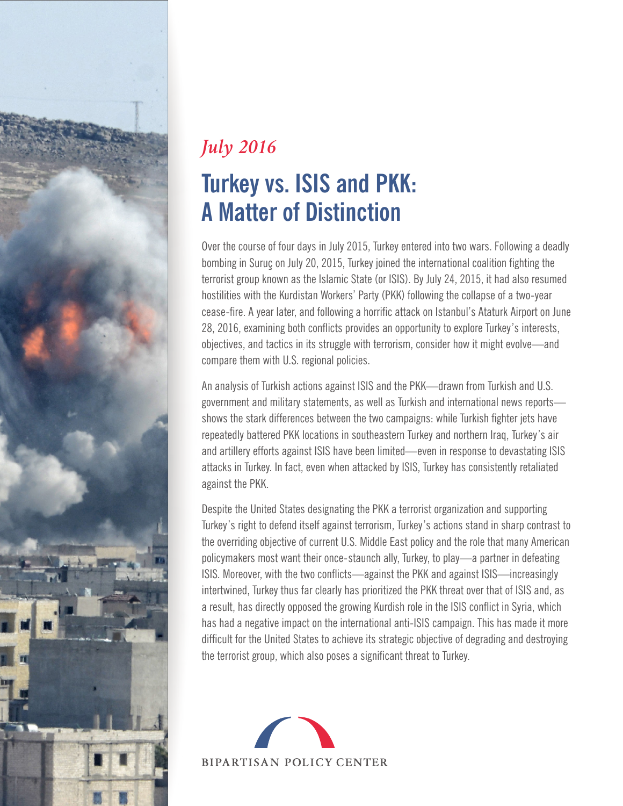

### **Turkey vs. ISIS and PKK: A Matter of Distinction** *July 2016*

Over the course of four days in July 2015, Turkey entered into two wars. Following a deadly bombing in Suruç on July 20, 2015, Turkey joined the international coalition fighting the terrorist group known as the Islamic State (or ISIS). By July 24, 2015, it had also resumed hostilities with the Kurdistan Workers' Party (PKK) following the collapse of a two-year cease-fire. A year later, and following a horrific attack on Istanbul's Ataturk Airport on June 28, 2016, examining both conflicts provides an opportunity to explore Turkey's interests, objectives, and tactics in its struggle with terrorism, consider how it might evolve—and compare them with U.S. regional policies.

An analysis of Turkish actions against ISIS and the PKK—drawn from Turkish and U.S. government and military statements, as well as Turkish and international news reports shows the stark differences between the two campaigns: while Turkish fighter jets have repeatedly battered PKK locations in southeastern Turkey and northern Iraq, Turkey's air and artillery efforts against ISIS have been limited—even in response to devastating ISIS attacks in Turkey. In fact, even when attacked by ISIS, Turkey has consistently retaliated against the PKK.

Despite the United States designating the PKK a terrorist organization and supporting Turkey's right to defend itself against terrorism, Turkey's actions stand in sharp contrast to the overriding objective of current U.S. Middle East policy and the role that many American policymakers most want their once-staunch ally, Turkey, to play—a partner in defeating ISIS. Moreover, with the two conflicts—against the PKK and against ISIS—increasingly intertwined, Turkey thus far clearly has prioritized the PKK threat over that of ISIS and, as a result, has directly opposed the growing Kurdish role in the ISIS conflict in Syria, which has had a negative impact on the international anti-ISIS campaign. This has made it more difficult for the United States to achieve its strategic objective of degrading and destroying the terrorist group, which also poses a significant threat to Turkey.

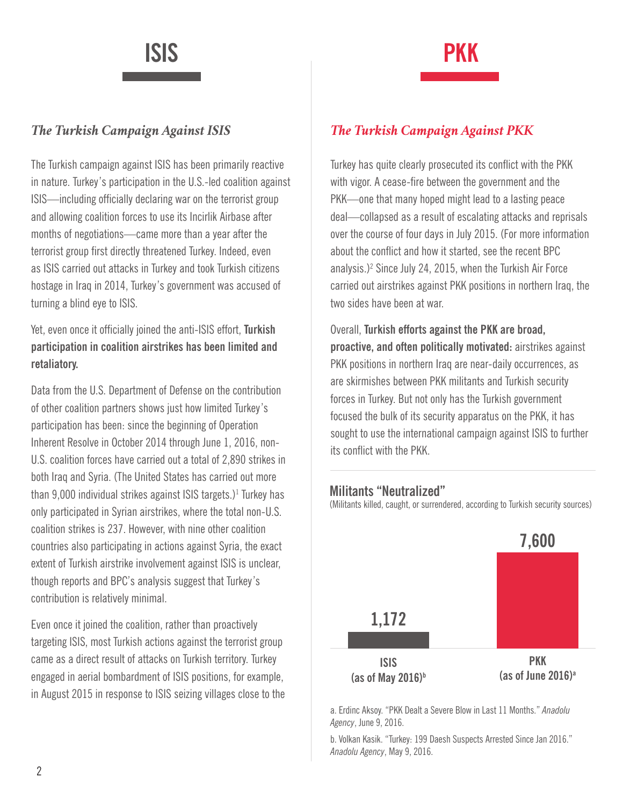# **ISIS PKK**

The Turkish campaign against ISIS has been primarily reactive in nature. Turkey's participation in the U.S.-led coalition against ISIS—including officially declaring war on the terrorist group and allowing coalition forces to use its Incirlik Airbase after months of negotiations—came more than a year after the terrorist group first directly threatened Turkey. Indeed, even as ISIS carried out attacks in Turkey and took Turkish citizens hostage in Iraq in 2014, Turkey's government was accused of turning a blind eye to ISIS.

Yet, even once it officially joined the anti-ISIS effort, **Turkish participation in coalition airstrikes has been limited and retaliatory.**

Data from the U.S. Department of Defense on the contribution of other coalition partners shows just how limited Turkey's participation has been: since the beginning of Operation Inherent Resolve in October 2014 through June 1, 2016, non-U.S. coalition forces have carried out a total of 2,890 strikes in both Iraq and Syria. (The United States has carried out more than 9,000 individual strikes against ISIS targets.)<sup>1</sup> Turkey has only participated in Syrian airstrikes, where the total non-U.S. coalition strikes is 237. However, with nine other coalition countries also participating in actions against Syria, the exact extent of Turkish airstrike involvement against ISIS is unclear, though reports and BPC's analysis suggest that Turkey's contribution is relatively minimal.

Even once it joined the coalition, rather than proactively targeting ISIS, most Turkish actions against the terrorist group came as a direct result of attacks on Turkish territory. Turkey engaged in aerial bombardment of ISIS positions, for example, in August 2015 in response to ISIS seizing villages close to the

### *The Turkish Campaign Against ISIS The Turkish Campaign Against PKK*

Turkey has quite clearly prosecuted its conflict with the PKK with vigor. A cease-fire between the government and the PKK—one that many hoped might lead to a lasting peace deal—collapsed as a result of escalating attacks and reprisals over the course of four days in July 2015. (For more information about the conflict and how it started, see the recent BPC analysis.)2 Since July 24, 2015, when the Turkish Air Force carried out airstrikes against PKK positions in northern Iraq, the two sides have been at war.

Overall, **Turkish efforts against the PKK are broad, proactive, and often politically motivated:** airstrikes against PKK positions in northern Iraq are near-daily occurrences, as are skirmishes between PKK militants and Turkish security forces in Turkey. But not only has the Turkish government focused the bulk of its security apparatus on the PKK, it has sought to use the international campaign against ISIS to further its conflict with the PKK.

### **Militants "Neutralized"**

(Militants killed, caught, or surrendered, according to Turkish security sources)



a. Erdinc Aksoy. "PKK Dealt a Severe Blow in Last 11 Months." *Anadolu Agency*, June 9, 2016.

b. Volkan Kasik. "Turkey: 199 Daesh Suspects Arrested Since Jan 2016." *Anadolu Agency*, May 9, 2016.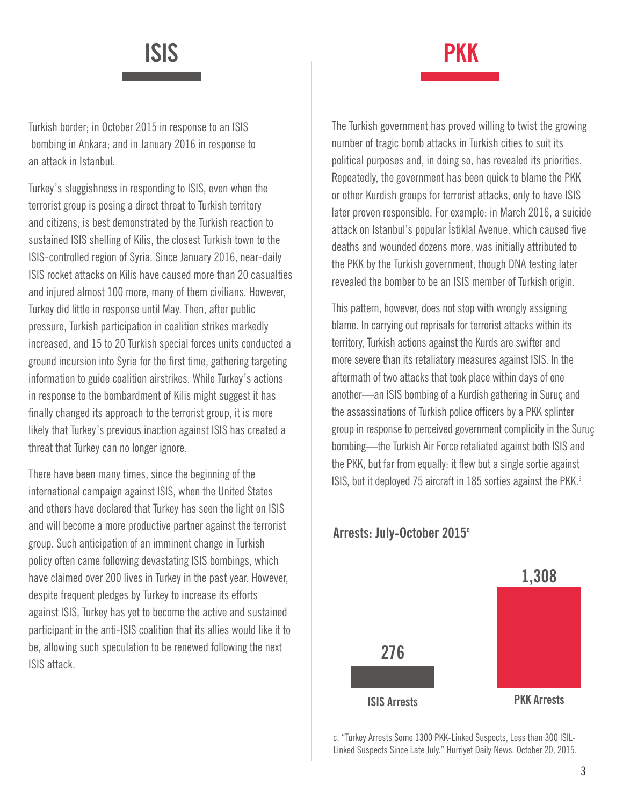## **ISIS PKK**

Turkish border; in October 2015 in response to an ISIS bombing in Ankara; and in January 2016 in response to an attack in Istanbul.

Turkey's sluggishness in responding to ISIS, even when the terrorist group is posing a direct threat to Turkish territory and citizens, is best demonstrated by the Turkish reaction to sustained ISIS shelling of Kilis, the closest Turkish town to the ISIS-controlled region of Syria. Since January 2016, near-daily ISIS rocket attacks on Kilis have caused more than 20 casualties and injured almost 100 more, many of them civilians. However, Turkey did little in response until May. Then, after public pressure, Turkish participation in coalition strikes markedly increased, and 15 to 20 Turkish special forces units conducted a ground incursion into Syria for the first time, gathering targeting information to guide coalition airstrikes. While Turkey's actions in response to the bombardment of Kilis might suggest it has finally changed its approach to the terrorist group, it is more likely that Turkey's previous inaction against ISIS has created a threat that Turkey can no longer ignore.

There have been many times, since the beginning of the international campaign against ISIS, when the United States and others have declared that Turkey has seen the light on ISIS and will become a more productive partner against the terrorist group. Such anticipation of an imminent change in Turkish policy often came following devastating ISIS bombings, which have claimed over 200 lives in Turkey in the past year. However, despite frequent pledges by Turkey to increase its efforts against ISIS, Turkey has yet to become the active and sustained participant in the anti-ISIS coalition that its allies would like it to be, allowing such speculation to be renewed following the next ISIS attack.

The Turkish government has proved willing to twist the growing number of tragic bomb attacks in Turkish cities to suit its political purposes and, in doing so, has revealed its priorities. Repeatedly, the government has been quick to blame the PKK or other Kurdish groups for terrorist attacks, only to have ISIS later proven responsible. For example: in March 2016, a suicide attack on Istanbul's popular İstiklal Avenue, which caused five deaths and wounded dozens more, was initially attributed to the PKK by the Turkish government, though DNA testing later revealed the bomber to be an ISIS member of Turkish origin.

This pattern, however, does not stop with wrongly assigning blame. In carrying out reprisals for terrorist attacks within its territory, Turkish actions against the Kurds are swifter and more severe than its retaliatory measures against ISIS. In the aftermath of two attacks that took place within days of one another—an ISIS bombing of a Kurdish gathering in Suruç and the assassinations of Turkish police officers by a PKK splinter group in response to perceived government complicity in the Suruç bombing—the Turkish Air Force retaliated against both ISIS and the PKK, but far from equally: it flew but a single sortie against ISIS, but it deployed 75 aircraft in 185 sorties against the PKK.<sup>3</sup>



**Arrests: July-October 2015c**

c. "Turkey Arrests Some 1300 PKK-Linked Suspects, Less than 300 ISIL-Linked Suspects Since Late July." Hurriyet Daily News. October 20, 2015.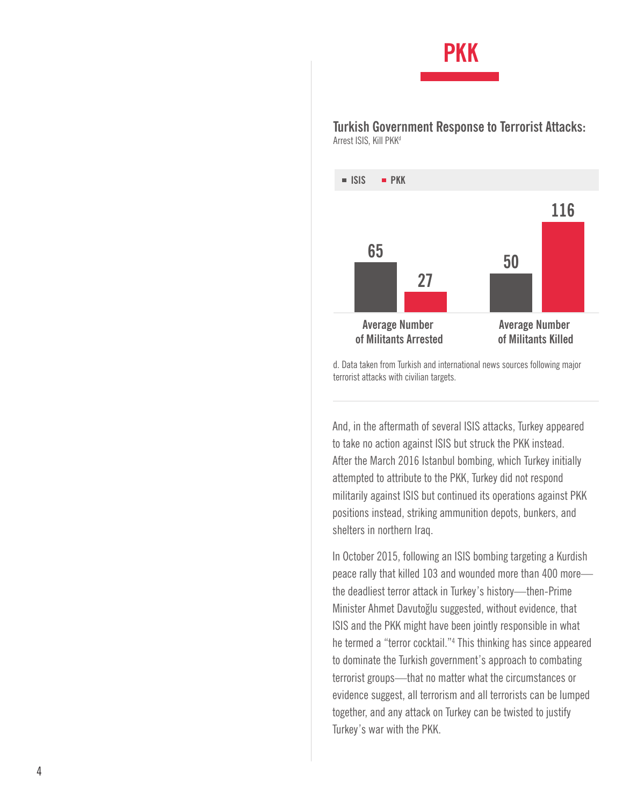## **PKK**

**Turkish Government Response to Terrorist Attacks:**  Arrest ISIS, Kill PKK d



d. Data taken from Turkish and international news sources following major terrorist attacks with civilian targets.

And, in the aftermath of several ISIS attacks, Turkey appeared to take no action against ISIS but struck the PKK instead. After the March 2016 Istanbul bombing, which Turkey initially attempted to attribute to the PKK, Turkey did not respond militarily against ISIS but continued its operations against PKK positions instead, striking ammunition depots, bunkers, and shelters in northern Iraq.

In October 2015, following an ISIS bombing targeting a Kurdish peace rally that killed 103 and wounded more than 400 more the deadliest terror attack in Turkey's history—then-Prime Minister Ahmet Davutoğlu suggested, without evidence, that ISIS and the PKK might have been jointly responsible in what he termed a "terror cocktail." 4 This thinking has since appeared to dominate the Turkish government's approach to combating terrorist groups—that no matter what the circumstances or evidence suggest, all terrorism and all terrorists can be lumped together, and any attack on Turkey can be twisted to justify Turkey's war with the PKK.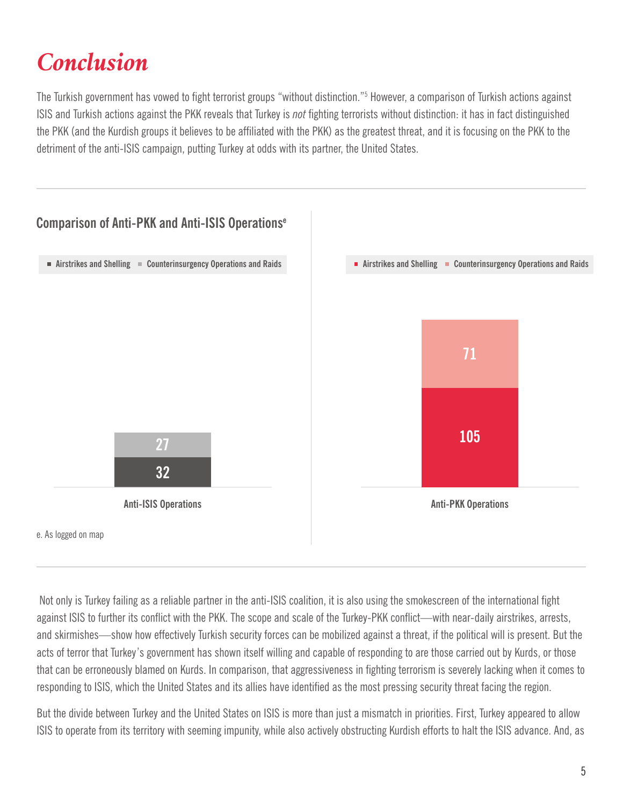## *Conclusion*

The Turkish government has vowed to fight terrorist groups "without distinction."<sup>5</sup> However, a comparison of Turkish actions against ISIS and Turkish actions against the PKK reveals that Turkey is *not* fighting terrorists without distinction: it has in fact distinguished the PKK (and the Kurdish groups it believes to be affiliated with the PKK) as the greatest threat, and it is focusing on the PKK to the detriment of the anti-ISIS campaign, putting Turkey at odds with its partner, the United States.



 Not only is Turkey failing as a reliable partner in the anti-ISIS coalition, it is also using the smokescreen of the international fight against ISIS to further its conflict with the PKK. The scope and scale of the Turkey-PKK conflict—with near-daily airstrikes, arrests, and skirmishes—show how effectively Turkish security forces can be mobilized against a threat, if the political will is present. But the acts of terror that Turkey's government has shown itself willing and capable of responding to are those carried out by Kurds, or those that can be erroneously blamed on Kurds. In comparison, that aggressiveness in fighting terrorism is severely lacking when it comes to responding to ISIS, which the United States and its allies have identified as the most pressing security threat facing the region.

But the divide between Turkey and the United States on ISIS is more than just a mismatch in priorities. First, Turkey appeared to allow ISIS to operate from its territory with seeming impunity, while also actively obstructing Kurdish efforts to halt the ISIS advance. And, as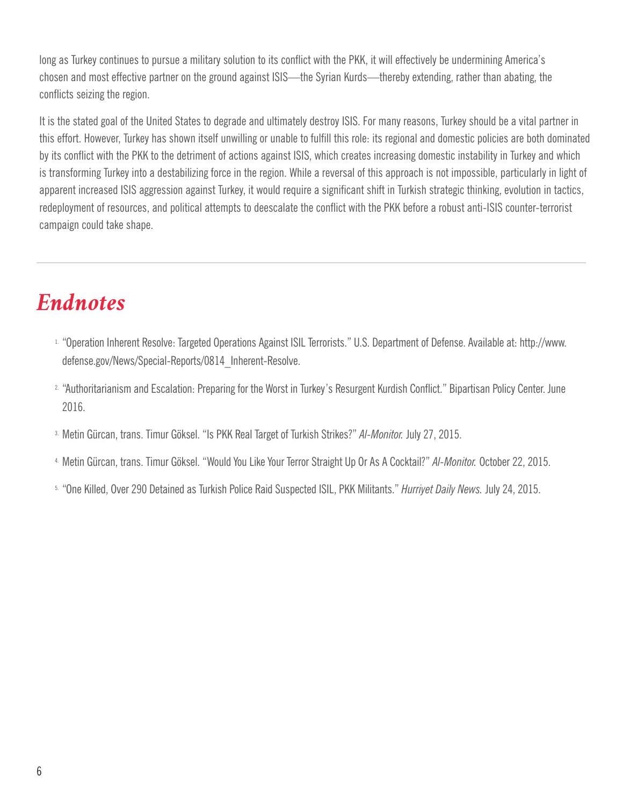long as Turkey continues to pursue a military solution to its conflict with the PKK, it will effectively be undermining America's chosen and most effective partner on the ground against ISIS—the Syrian Kurds—thereby extending, rather than abating, the conflicts seizing the region.

It is the stated goal of the United States to degrade and ultimately destroy ISIS. For many reasons, Turkey should be a vital partner in this effort. However, Turkey has shown itself unwilling or unable to fulfill this role: its regional and domestic policies are both dominated by its conflict with the PKK to the detriment of actions against ISIS, which creates increasing domestic instability in Turkey and which is transforming Turkey into a destabilizing force in the region. While a reversal of this approach is not impossible, particularly in light of apparent increased ISIS aggression against Turkey, it would require a significant shift in Turkish strategic thinking, evolution in tactics, redeployment of resources, and political attempts to deescalate the conflict with the PKK before a robust anti-ISIS counter-terrorist campaign could take shape.

### *Endnotes*

- 1. "Operation Inherent Resolve: Targeted Operations Against ISIL Terrorists." U.S. Department of Defense. Available at: http://www. defense.gov/News/Special-Reports/0814\_Inherent-Resolve.
- 2. "Authoritarianism and Escalation: Preparing for the Worst in Turkey's Resurgent Kurdish Conflict." Bipartisan Policy Center. June 2016.
- 3. Metin Gürcan, trans. Timur Göksel. "Is PKK Real Target of Turkish Strikes?" *Al-Monitor.* July 27, 2015.
- 4. Metin Gürcan, trans. Timur Göksel. "Would You Like Your Terror Straight Up Or As A Cocktail?" *Al-Monitor.* October 22, 2015.
- 5. "One Killed, Over 290 Detained as Turkish Police Raid Suspected ISIL, PKK Militants." *Hurriyet Daily News.* July 24, 2015.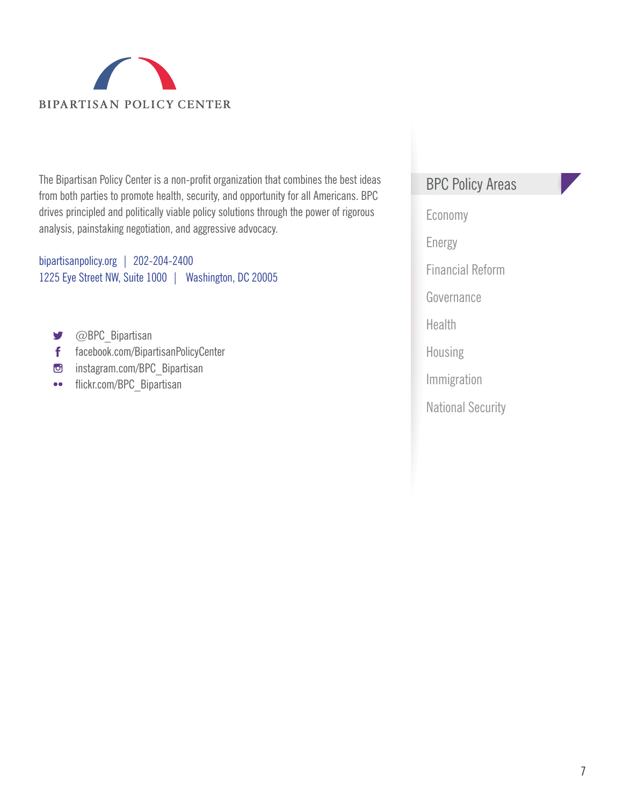

The Bipartisan Policy Center is a non-profit organization that combines the best ideas from both parties to promote health, security, and opportunity for all Americans. BPC drives principled and politically viable policy solutions through the power of rigorous analysis, painstaking negotiation, and aggressive advocacy.

bipartisanpolicy.org | 202-204-2400 1225 Eye Street NW, Suite 1000 | Washington, DC 20005

- @BPC\_Bipartisan y
- facebook.com/BipartisanPolicyCenter  $\mathbf{f}$
- com/BPC\_Bipartisan
- flickr.com/BPC\_Bipartisan  $\bullet\bullet$

### BPC Policy Areas

Economy Energy Financial Reform Governance Health Housing Immigration National Security